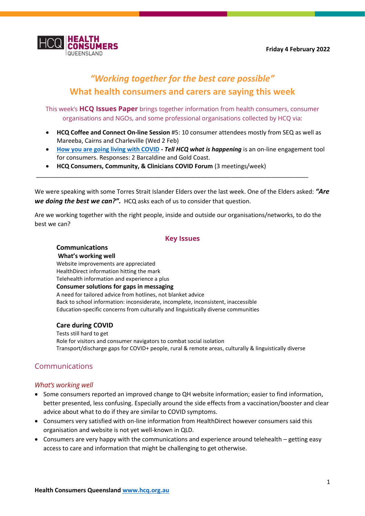

# *"Working together for the best care possible"* **What health consumers and carers are saying this week**

This week's **HCQ Issues Paper** brings together information from health consumers, consumer organisations and NGOs, and some professional organisations collected by HCQ via:

- **HCQ Coffee and Connect On-line Session** #5: 10 consumer attendees mostly from SEQ as well as Mareeba, Cairns and Charleville (Wed 2 Feb)
- **[How you are going living with COVID](https://forms.office.com/pages/responsepage.aspx?id=AzIBLWsEzUaykAfhE64hFyVW_evj_vdClwWENSOEaphUQThDNTdIUUhZMEtKSVQyNE83Vk5BRzNFNCQlQCN0PWcu) -** *Tell HCQ what is happening* is an on-line engagement tool for consumers. Responses: 2 Barcaldine and Gold Coast.
- **HCQ Consumers, Community, & Clinicians COVID Forum** (3 meetings/week)

We were speaking with some Torres Strait Islander Elders over the last week. One of the Elders asked: *"Are we doing the best we can?".* HCQ asks each of us to consider that question.

\_\_\_\_\_\_\_\_\_\_\_\_\_\_\_\_\_\_\_\_\_\_\_\_\_\_\_\_\_\_\_\_\_\_\_\_\_\_\_\_\_\_\_\_\_\_\_\_\_\_\_\_\_\_\_\_\_\_\_\_\_\_\_\_\_\_\_\_\_\_\_\_\_\_\_\_\_\_\_\_\_

Are we working together with the right people, inside and outside our organisations/networks, to do the best we can?

### **Key Issues**

### **Communications**

**What's working well** Website improvements are appreciated HealthDirect information hitting the mark Telehealth information and experience a plus **Consumer solutions for gaps in messaging** A need for tailored advice from hotlines, not blanket advice Back to school information: inconsiderate, incomplete, inconsistent, inaccessible Education-specific concerns from culturally and linguistically diverse communities

### **Care during COVID**

Tests still hard to get Role for visitors and consumer navigators to combat social isolation Transport/discharge gaps for COVID+ people, rural & remote areas, culturally & linguistically diverse

### Communications

### *What's working well*

- Some consumers reported an improved change to QH website information; easier to find information, better presented, less confusing. Especially around the side effects from a vaccination/booster and clear advice about what to do if they are similar to COVID symptoms.
- Consumers very satisfied with on-line information from HealthDirect however consumers said this organisation and website is not yet well-known in QLD.
- Consumers are very happy with the communications and experience around telehealth getting easy access to care and information that might be challenging to get otherwise.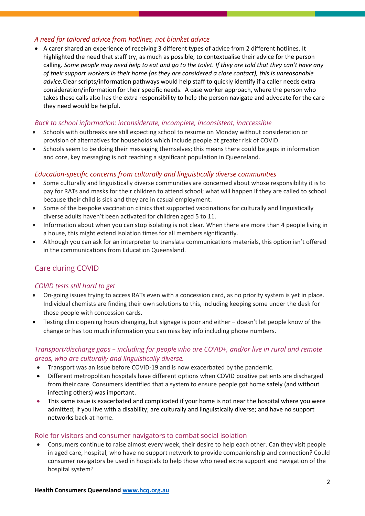### *A need for tailored advice from hotlines, not blanket advice*

• A carer shared an experience of receiving 3 different types of advice from 2 different hotlines. It highlighted the need that staff try, as much as possible, to contextualise their advice for the person calling. *Some people may need help to eat and go to the toilet. If they are told that they can't have any of their support workers in their home (as they are considered a close contact), this is unreasonable advice.*Clear scripts/information pathways would help staff to quickly identify if a caller needs extra consideration/information for their specific needs. A case worker approach, where the person who takes these calls also has the extra responsibility to help the person navigate and advocate for the care they need would be helpful.

### *Back to school information: inconsiderate, incomplete, inconsistent, inaccessible*

- Schools with outbreaks are still expecting school to resume on Monday without consideration or provision of alternatives for households which include people at greater risk of COVID.
- Schools seem to be doing their messaging themselves; this means there could be gaps in information and core, key messaging is not reaching a significant population in Queensland.

### *Education-specific concerns from culturally and linguistically diverse communities*

- Some culturally and linguistically diverse communities are concerned about whose responsibility it is to pay for RATs and masks for their children to attend school; what will happen if they are called to school because their child is sick and they are in casual employment.
- Some of the bespoke vaccination clinics that supported vaccinations for culturally and linguistically diverse adults haven't been activated for children aged 5 to 11.
- Information about when you can stop isolating is not clear. When there are more than 4 people living in a house, this might extend isolation times for all members significantly.
- Although you can ask for an interpreter to translate communications materials, this option isn't offered in the communications from Education Queensland.

### Care during COVID

### *COVID tests still hard to get*

- On-going issues trying to access RATs even with a concession card, as no priority system is yet in place. Individual chemists are finding their own solutions to this, including keeping some under the desk for those people with concession cards.
- Testing clinic opening hours changing, but signage is poor and either doesn't let people know of the change or has too much information you can miss key info including phone numbers.

### *Transport/discharge gaps – including for people who are COVID+, and/or live in rural and remote areas, who are culturally and linguistically diverse.*

- Transport was an issue before COVID-19 and is now exacerbated by the pandemic.
- Different metropolitan hospitals have different options when COVID positive patients are discharged from their care. Consumers identified that a system to ensure people got home safely (and without infecting others) was important.
- This same issue is exacerbated and complicated if your home is not near the hospital where you were admitted; if you live with a disability; are culturally and linguistically diverse; and have no support networks back at home.

### Role for visitors and consumer navigators to combat social isolation

• Consumers continue to raise almost every week, their desire to help each other. Can they visit people in aged care, hospital, who have no support network to provide companionship and connection? Could consumer navigators be used in hospitals to help those who need extra support and navigation of the hospital system?